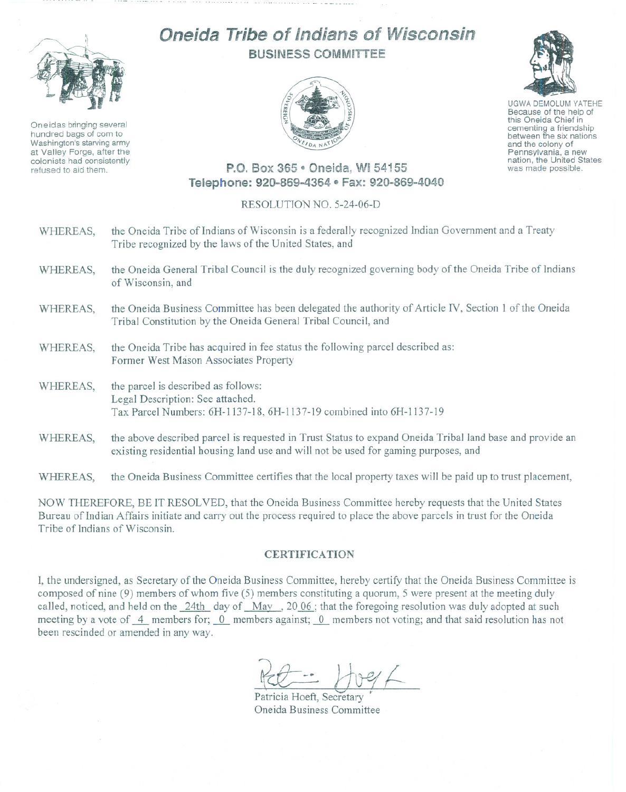

Oneidas bringing several hundred bags of corn to Washington's starving army at Valley Forge, after the colonists had consistently refused to aid them.

## **Oneida Tribe of Indians of Wisconsin** BUSINESS COMMiTTEE





UGWA DEMOLUM YATEHE Because of the help of this Oneida Chief in cementing <sup>a</sup> friendship between the six nations and the colony of<br>Pennsylvania, a new nation, the United States was made possible.

## P.O. Box 365 · Oneida. WI 54155 Telephone: 920-869-4364 · Fax: 920-869-4040

## RESOLUTION NO. 5-24-06-D

- WHEREAS, the Oneida Tribe of Indians of Wisconsin is a federally recognized Indian Government and a Treaty Tribe recognized by the laws of the United States, and
- WHEREAS, the Oneida General Tribal Council is the duly recognized governing body of the Oneida Tribe of Indians of Wisconsin, and
- WHEREAS, the Oneida Business Committee has been delegated the authority of Article *N,* Section 1 of the Oneida Tribal Constitution by the Oneida Genera] Tribal Council, and
- WHEREAS, the Oneida Tribe has acquired in fee status the following parcel described as: Former West Mason Associates Property
- WHEREAS, the parcel is described as follows: Legal Description: See attached. Tax Parcel Numbers: 6H-1137-18, 6H-1137-19 combined into 6H-1137-19
- WHEREAS, the above described parcel is requested in Trust Status to expand Oneida Tribal land base and provide an existing residential housing land use and will not be used for gaming purposes, and

WHEREAS, the Oneida Business Committee certifies that the local property taxes will be paid up to trust placement,

NOW THEREFORE, BE IT RESOL YED, that the Oneida Business Committee hereby requests that the United States Bureau of Indian Affairs initiate and cany out the process required to place the above parcels in trust for the Oneida Tribe of Indians of Wisconsin.

## **CERTIFICATION**

I, the undersigned, as Secretary of the Oneida Business Committee, hereby certify that the Oneida Business Committee is composed of nine (9) members of whom five (5) members constituting a quorum, 5 were present at the meeting duly called, noticed, and held on the 24th day of May, 2006; that the foregoing resolution was duly adopted at such meeting by a vote of 4 members for; 0 members against; 0 members not voting; and that said resolution has not been rescinded or amended in any way.

Pal - Vreef

Patricia Hoeft, Secretary Oneida Business Committee